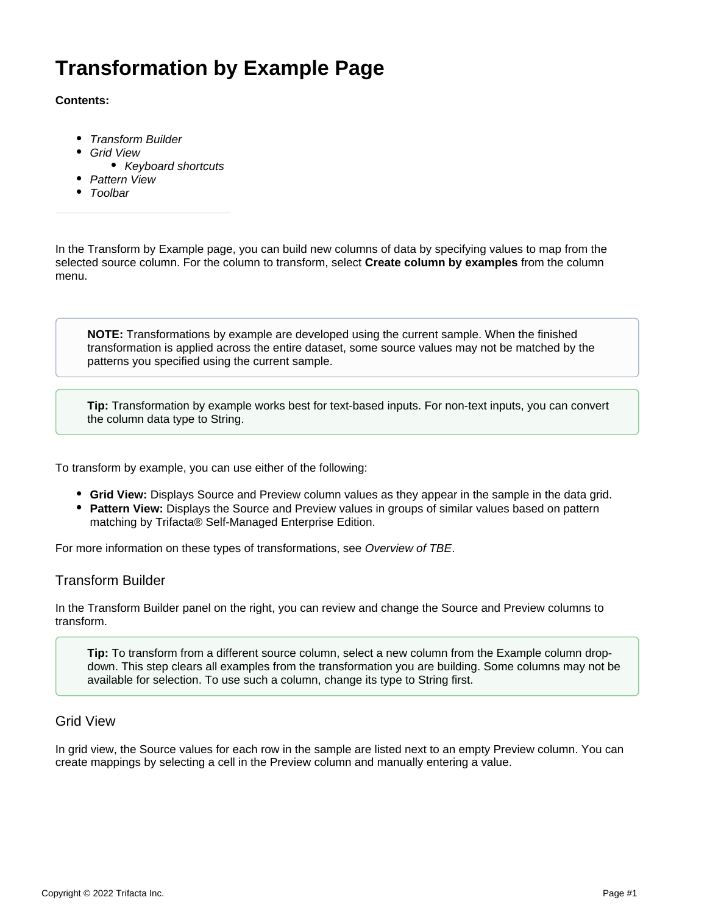# **Transformation by Example Page**

## **Contents:**

- [Transform Builder](#page-0-0)
- [Grid View](#page-0-1)
	- [Keyboard shortcuts](#page-1-0)
- **[Pattern View](#page-1-1)**
- [Toolbar](#page-2-0)

In the Transform by Example page, you can build new columns of data by specifying values to map from the selected source column. For the column to transform, select **Create column by examples** from the column menu.

**NOTE:** Transformations by example are developed using the current sample. When the finished transformation is applied across the entire dataset, some source values may not be matched by the patterns you specified using the current sample.

**Tip:** Transformation by example works best for text-based inputs. For non-text inputs, you can convert the column data type to String.

To transform by example, you can use either of the following:

- **Grid View:** Displays Source and Preview column values as they appear in the sample in the data grid.
- $\bullet$ **Pattern View:** Displays the Source and Preview values in groups of similar values based on pattern matching by Trifacta® Self-Managed Enterprise Edition.

For more information on these types of transformations, see [Overview of TBE](https://docs.trifacta.com/display/r082/Overview+of+TBE).

# <span id="page-0-0"></span>Transform Builder

In the Transform Builder panel on the right, you can review and change the Source and Preview columns to transform.

**Tip:** To transform from a different source column, select a new column from the Example column dropdown. This step clears all examples from the transformation you are building. Some columns may not be available for selection. To use such a column, change its type to String first.

## <span id="page-0-1"></span>Grid View

In grid view, the Source values for each row in the sample are listed next to an empty Preview column. You can create mappings by selecting a cell in the Preview column and manually entering a value.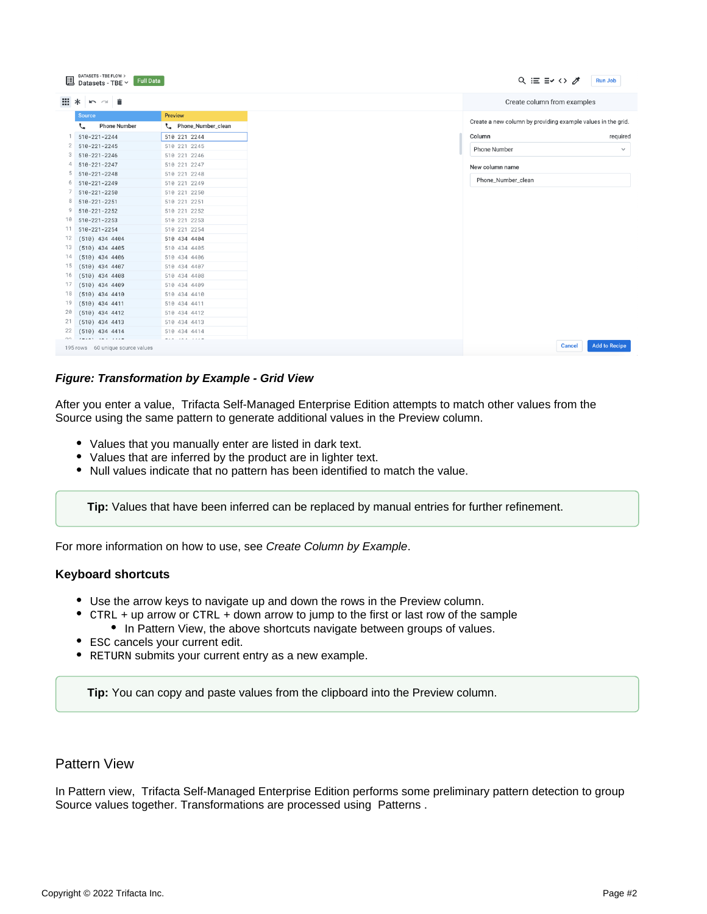| <b>Full Data</b> |                    |
|------------------|--------------------|
|                  |                    |
|                  | <b>Preview</b>     |
|                  | Phone_Number_clean |
|                  | 510 221 2244       |
| 510 221 2245     |                    |
| 510 221 2246     |                    |
| 510 221 2247     |                    |
| 510 221 2248     |                    |
| 510 221 2249     |                    |
| 510 221 2250     |                    |
| 510 221 2251     |                    |
| 510 221 2252     |                    |
| 510 221 2253     |                    |
| 510 221 2254     |                    |
| 510 434 4404     |                    |
| 510 434 4405     |                    |
| 510 434 4406     |                    |
| 510 434 4407     |                    |
| 510 434 4408     |                    |
| 510 434 4409     |                    |
| 510 434 4410     |                    |
| 510 434 4411     |                    |
| 510 434 4412     |                    |
| 510 434 4413     |                    |
|                  |                    |

#### **Figure: Transformation by Example - Grid View**

After you enter a value, Trifacta Self-Managed Enterprise Edition attempts to match other values from the Source using the same pattern to generate additional values in the Preview column.

- Values that you manually enter are listed in dark text.
- Values that are inferred by the product are in lighter text.
- Null values indicate that no pattern has been identified to match the value.

**Tip:** Values that have been inferred can be replaced by manual entries for further refinement.

For more information on how to use, see [Create Column by Example](https://docs.trifacta.com/display/r082/Create+Column+by+Example).

#### <span id="page-1-0"></span>**Keyboard shortcuts**

- Use the arrow keys to navigate up and down the rows in the Preview column.
- $\bullet$  CTRL + up arrow or CTRL + down arrow to jump to the first or last row of the sample
	- In Pattern View, the above shortcuts navigate between groups of values.
- ESC cancels your current edit.
- RETURN submits your current entry as a new example.

**Tip:** You can copy and paste values from the clipboard into the Preview column.

# <span id="page-1-1"></span>Pattern View

In Pattern view, Trifacta Self-Managed Enterprise Edition performs some preliminary pattern detection to group Source values together. Transformations are processed using Patterns .